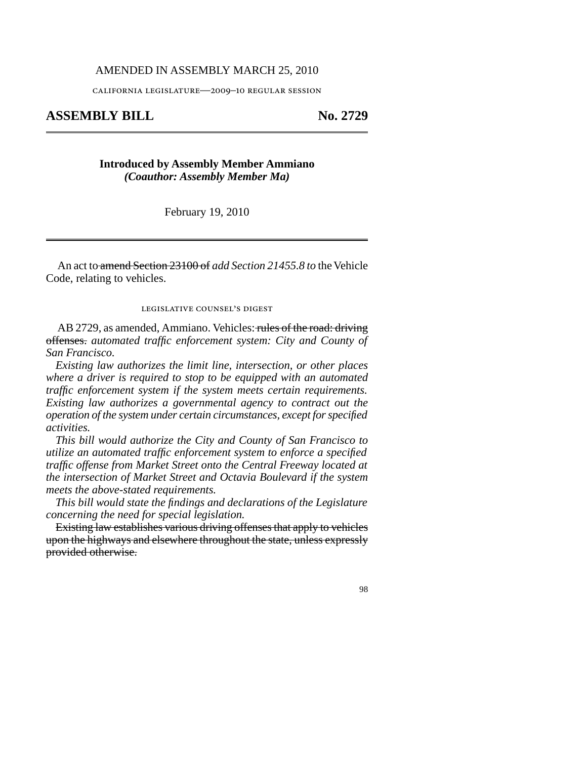## AMENDED IN ASSEMBLY MARCH 25, 2010

california legislature—2009–10 regular session

## ASSEMBLY BILL No. 2729

## **Introduced by Assembly Member Ammiano** *(Coauthor: Assembly Member Ma)*

February 19, 2010

An act to amend Section 23100 of *add Section 21455.8 to* the Vehicle Code, relating to vehicles.

legislative counsel' s digest

AB 2729, as amended, Ammiano. Vehicles: rules of the road: driving offenses. *automated traffic enforcement system: City and County of San Francisco.*

*Existing law authorizes the limit line, intersection, or other places where a driver is required to stop to be equipped with an automated traffic enforcement system if the system meets certain requirements. Existing law authorizes a governmental agency to contract out the operation of the system under certain circumstances, except for specified activities.*

*This bill would authorize the City and County of San Francisco to utilize an automated traffic enforcement system to enforce a specified traffic offense from Market Street onto the Central Freeway located at the intersection of Market Street and Octavia Boulevard if the system meets the above-stated requirements.*

*This bill would state the findings and declarations of the Legislature concerning the need for special legislation.*

Existing law establishes various driving offenses that apply to vehicles upon the highways and elsewhere throughout the state, unless expressly provided otherwise.

98